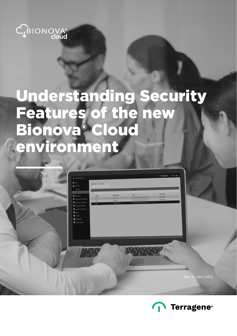

# Understanding Security Features of the new Bionova® Cloud environment



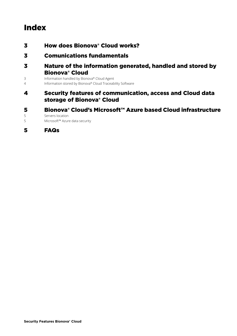## Index

- [How does Bionova® Cloud works?](#page-2-0)
- [Comunications fundamentals](#page-2-0)
- [Nature of the information generated, handled and stored by](#page-2-0)  [Bionova® Cloud](#page-2-0)
- [Information handled by Bionova® Cloud Agent](#page-2-0)<br>1 Information stored by Bionova® Cloud Traceab
- [Information stored by Bionova® Cloud Traceability Software](#page-3-0)
- [Security features of communication, access and Cloud data](#page-3-0)  [storage of Bionova® Cloud](#page-3-0)
- [Bionova® Cloud's Microsoft™ Azure based Cloud infrastructure](#page-4-0)<br>5 Servers location

[Servers location](#page-4-0)

[Microsoft™ Azure data security](#page-4-0)

[FAQs](#page-4-0)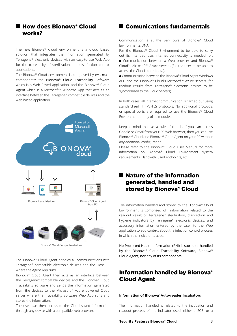## <span id="page-2-0"></span>■ How does Bionova® Cloud works?

The new Bionova® Cloud environment is a Cloud based solution that integrates the information generated by Terragene® electronic devices with an easy-to-use Web App for the traceability of sterilization and disinfection control applications.

The Bionova® Cloud environment is composed by two main components: the Bionova® Cloud Traceability Software which is a Web Based application, and the Bionova® Cloud Agent which is a Microsoft™ Windows App that acts as an interface between the Terragene® compatible devices and the web based application.



The Bionova® Cloud Agent handles all communications with Terragene® compatible electronic devices and the Host PC where the Agent App runs.

Bionova® Cloud Agent then acts as an interface between the Terragene® compatible devices and the Bionova® Cloud Traceability software and sends the information generated from the devices to the Microsoft™ Azure powered Cloud server where the Traceability Software Web App runs and stores the information.

The user can then access to the Cloud saved information through any device with a compatible web browser.

## ■ Comunications fundamentals

Communication is at the very core of Bionova® Cloud Environment's DNA.

For the Bionova® Cloud Environment to be able to carry out its intended use, internet connectivity is needed for: ● Communication between a Web browser and Bionova® Cloud's Microsoft™ Azure servers (for the user to be able to access the Cloud stored data).

● Communication between the Bionova® Cloud Agent Windows APP and the Bionova® Cloud's Microsoft™ Azure servers (for readout results from Terragene® electronic devices to be synchronized to the Cloud Servers).

In both cases, all internet communication is carried out using standardized HTTPS-TLS protocols. No additional protocols or special ports are required to use the Bionova® Cloud Environment or any of its modules.

Keep in mind that, as a rule of thumb, if you can access Google or Gmail from your PC Web browser, then you can use Bionova® Cloud and Bionova® Cloud Agent on your PC without any additional configuration.

Please refer to the Bionova® Cloud User Manual for more information on Bionova® Cloud Environment system requirements (Bandwith, used endpoints, etc).

## **Nature of the information** generated, handled and stored by Bionova® Cloud

The information handled and stored by the Bionova® Cloud Environment is comprised of information related to the readout result of Terragene® sterilization, disinfection and hygiene indicators by Terragene® electronic devices, and accessory information entered by the User to the Web application to add context about the infection control process in which the indicator is used.

No Protected Health Information (PHI) is stored or handled by the Bionova® Cloud Traceability Software, Bionova® Cloud Agent, nor any of its components.

## Information handled by Bionova® Cloud Agent

#### **Information of Bionova® Auto-reader Incubators**

The Information handled is related to the incubation and readout process of the indicator used: either a SCBI or a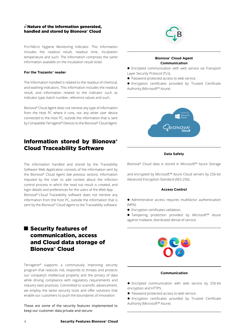#### <span id="page-3-0"></span> $\epsilon$  Nature of the information generated. handled and stored by Bionova® Cloud

Pro1Micro Hygiene Monitoring Indicator. This information includes the readout result, readout time, incubation temperature and such. The information comprises the same information available on the incubation result ticket.

#### **For the Trazanto® reader**

The Information handled is related to the readout of chemical, and washing indicators. This information includes the readout result, and information related to the indicator such as indicator type, batch number, reference values and such.

Bionova® Cloud Agent does not retrieve any type of information from the Host PC where it runs, nor any other user device connected to the Host PC, outside the information that is sent by Compatible Terragene® Devices to the Bionova® Cloud Agent.

## Information stored by Bionova® Cloud Traceability Software

The information handled and stored by the Traceability Software Web Application consists of the information sent by the Bionova® Cloud Agent *(see previous section)*, information imputed by the User to add context about the infection control process in which the read out result is created, and login details and preferences for the users of the Web App. Bionova® Cloud Traceability software does not retrieve any information from the host PC, outside the information that is sent by the Bionova® Cloud Agent to the Traceability software.

## Security features of communication, access and Cloud data storage of Bionova® Cloud

Terragene® supports a continuously improving security program that reduces risk, responds to threats and protects our company's intellectual property and the privacy of data while driving compliance with regulatory requirements and industry best practices. Committed to scientific advancement, we employ the latest security tools and offer solutions that enable our customers to push the boundaries of innovation.

These are some of the security features implemented to keep our customer data private and secure:



#### **Bionova® Cloud Agent Communication**

• Encripted communication with web service via Transport Layer Security Protocol (TLS).

• Password protected access to web service.

 $\bullet$  Encryption certificates provided by Trusted Certificate Authority (Microsoft™ Azure).



#### **Data Safety**

Bionova® Cloud data is stored in Microsoft™ Azure Storage

and encrypted by Microsoft™ Azure Cloud servers by 256-bit Advanced Encryption Standard (AES-256).

#### **Access Control**

 $\bullet$  Administrative access requires multifactor authentication (MFA).

**•** Encryption certificates validation.

● Tampering protection provided by Microsoft™ Azure against malware, distributed denial-of-service.



#### **Communication**

**•** Encripted communication with web service by 256-bit encryption and HTTPS.

- Password protected access to web service.
- $\bullet$  Encryption certificates provided by Trusted Certificate Authority (Microsoft™ Azure).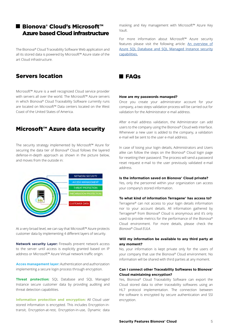## <span id="page-4-0"></span>■ Bionova® Cloud's Microsoft™ Azure based Cloud infrastructure

The Bionova® Cloud Traceability Software Web application and all its stored data is powered by Microsoft™ Azure state of the art Cloud infrastructure.

## Servers location

Microsoft™ Azure is a well recognized Cloud service provider with servers all over the world. The Microsoft™ Azure servers in which Bionova® Cloud Traceability Software currently runs are located on Microsoft™ Data centers located on the West Coast of the United States of America.

## Microsoft™ Azure data security

The security strategy implemented by Microsoft™ Azure for securing the data tier of Bionova® Cloud follows the layered defense-in-depth approach as shown in the picture below, and moves from the outside in:



At a very broad level, we can say that Microsoft™ Azure protects customer data by implementing 4 different layers of security.

**Network security Layer:** Firewalls prevent network access to the server until access is explicitly granted based on IP address or Microsoft™ Azure Virtual network traffic origin.

**Acces management layer:** Authentication and authorization implementing a secure login process through encryption.

**Threat protection:** SQL Database and SQL Managed Instance secure customer data by providing auditing and threat detection capabilities.

**Information protection and encryption:** All Cloud user stored information is encrypted. This includes Encryption-intransit, Encryption-at-rest, Encryption-in-use, Dynamic data masking and Key management with Microsoft™ Azure Key Vault.

For more information about Microsoft™ Azure security features please visit the following article: [An overview of](https://docs.microsoft.com/en-us/azure/azure-sql/database/security-overview) [Azure SQL Database and SQL Managed Instance security](https://docs.microsoft.com/en-us/azure/azure-sql/database/security-overview) [capabilities.](https://docs.microsoft.com/en-us/azure/azure-sql/database/security-overview)



#### **How are my passwords managed?**

Once you create your administrator account for your company, a two steps validation process will be carried out for validation for the Administrator e-mail address.

After e-mail address validation, the Administrator can add users to the company using the Bionova® Cloud web interface. Whenever a new user is added to the company, a validation e-mail will be sent to the user e-mail address.

In case of losing your login details, Administrators and Users alike can follow the steps on the Bionova® Cloud login page for resetting their password. The process will send a password reset request e-mail to the user previously validated e-mail address.

#### **Is the information saved on Bionova® Cloud private?**

Yes, only the personnel within your organization can access your company's stored information.

#### **To what kind of information Terragene® has access to?**

Terragene® can not access to your login details information nor to your account details. All information gathered by Terragene® from Bionova® Cloud is anonymous and it's only used to provide metrics for the performance of the Bionova® Cloud environment. For more details, please check the *Bionova® Cloud EULA*.

#### **Will my information be available to any third party at any moment?**

No, your information is kept private only for the users of your company that use the Bionova® Cloud environment. No information will be shared with third parties at any moment.

#### **Can I connect other Traceability Softwares to Bionova® Cloud maintaining encryption?**

Yes, Bionova® Cloud Traceability Software can export the Cloud stored data to other traceability softwares using an HL7 protocol implementation. The connection between the software is encrypted by secure authentication and SSl encryption.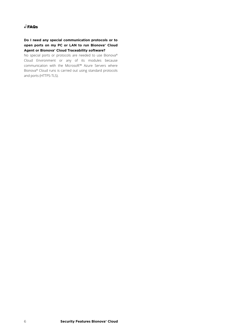### FAQs

#### **Do I need any special communication protocols or to open ports on my PC or LAN to run Bionova® Cloud Agent or Bionova® Cloud Traceability software?**

No special ports or protocols are needed to use Bionova® Cloud Environment or any of its modules because communication with the Microsoft™ Azure Servers where Bionova® Cloud runs is carried out using standard protocols and ports (HTTPS-TLS).